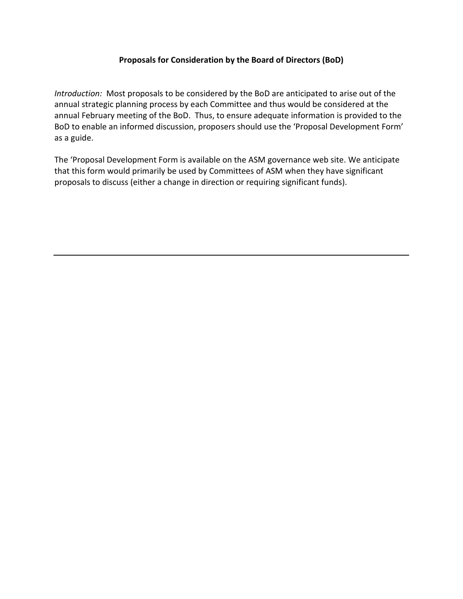## **Proposals for Consideration by the Board of Directors (BoD)**

*Introduction:* Most proposals to be considered by the BoD are anticipated to arise out of the annual strategic planning process by each Committee and thus would be considered at the annual February meeting of the BoD. Thus, to ensure adequate information is provided to the BoD to enable an informed discussion, proposers should use the 'Proposal Development Form' as a guide.

The 'Proposal Development Form is available on the ASM governance web site. We anticipate that this form would primarily be used by Committees of ASM when they have significant proposals to discuss (either a change in direction or requiring significant funds).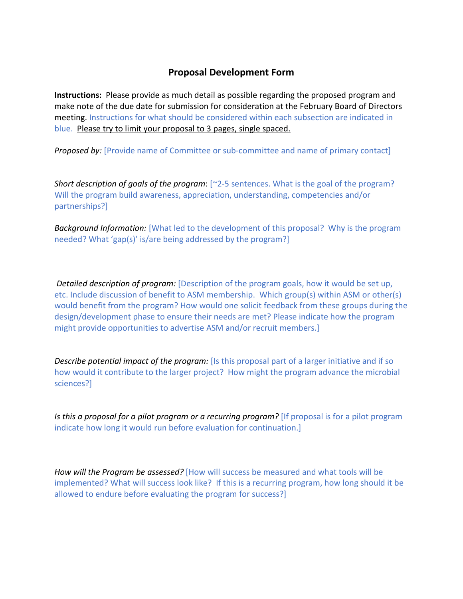## **Proposal Development Form**

**Instructions:** Please provide as much detail as possible regarding the proposed program and make note of the due date for submission for consideration at the February Board of Directors meeting. Instructions for what should be considered within each subsection are indicated in blue. Please try to limit your proposal to 3 pages, single spaced.

**Proposed by:** [Provide name of Committee or sub-committee and name of primary contact]

*Short description of goals of the program*: [ $2-5$  sentences. What is the goal of the program? Will the program build awareness, appreciation, understanding, competencies and/or partnerships?]

*Background Information:* [What led to the development of this proposal? Why is the program needed? What 'gap(s)' is/are being addressed by the program?]

*Detailed description of program:* [Description of the program goals, how it would be set up, etc. Include discussion of benefit to ASM membership. Which group(s) within ASM or other(s) would benefit from the program? How would one solicit feedback from these groups during the design/development phase to ensure their needs are met? Please indicate how the program might provide opportunities to advertise ASM and/or recruit members.]

*Describe potential impact of the program:* [Is this proposal part of a larger initiative and if so how would it contribute to the larger project? How might the program advance the microbial sciences?]

*Is this a proposal for a pilot program or a recurring program?* [If proposal is for a pilot program indicate how long it would run before evaluation for continuation.]

*How will the Program be assessed?* [How will success be measured and what tools will be implemented? What will success look like? If this is a recurring program, how long should it be allowed to endure before evaluating the program for success?]